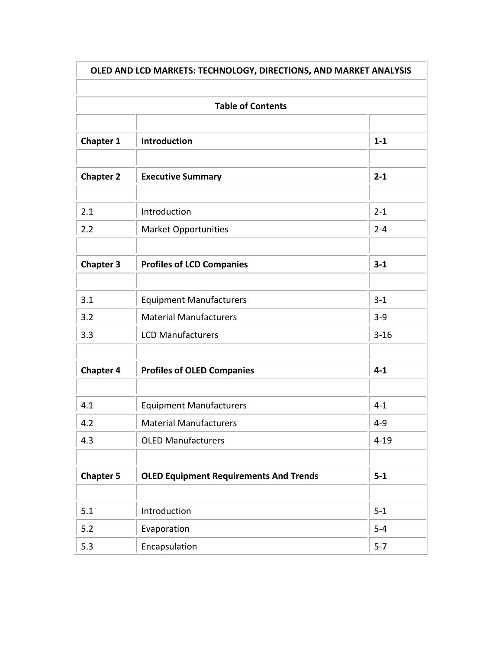| OLED AND LCD MARKETS: TECHNOLOGY, DIRECTIONS, AND MARKET ANALYSIS<br><b>Table of Contents</b> |                                               |          |
|-----------------------------------------------------------------------------------------------|-----------------------------------------------|----------|
|                                                                                               |                                               |          |
| <b>Chapter 2</b>                                                                              | <b>Executive Summary</b>                      | $2 - 1$  |
| 2.1                                                                                           | Introduction                                  | $2 - 1$  |
| 2.2                                                                                           | <b>Market Opportunities</b>                   | $2 - 4$  |
| <b>Chapter 3</b>                                                                              | <b>Profiles of LCD Companies</b>              | $3 - 1$  |
| 3.1                                                                                           | <b>Equipment Manufacturers</b>                | $3 - 1$  |
| 3.2                                                                                           | <b>Material Manufacturers</b>                 | $3 - 9$  |
| 3.3                                                                                           | <b>LCD Manufacturers</b>                      | $3 - 16$ |
| <b>Chapter 4</b>                                                                              | <b>Profiles of OLED Companies</b>             | $4 - 1$  |
| 4.1                                                                                           | <b>Equipment Manufacturers</b>                | $4 - 1$  |
| 4.2                                                                                           | <b>Material Manufacturers</b>                 | $4 - 9$  |
| 4.3                                                                                           | <b>OLED Manufacturers</b>                     | $4 - 19$ |
| <b>Chapter 5</b>                                                                              | <b>OLED Equipment Requirements And Trends</b> | $5-1$    |
|                                                                                               |                                               |          |
| 5.1                                                                                           | Introduction                                  | $5 - 1$  |
| 5.2                                                                                           | Evaporation                                   | $5-4$    |
| 5.3                                                                                           | Encapsulation                                 | $5 - 7$  |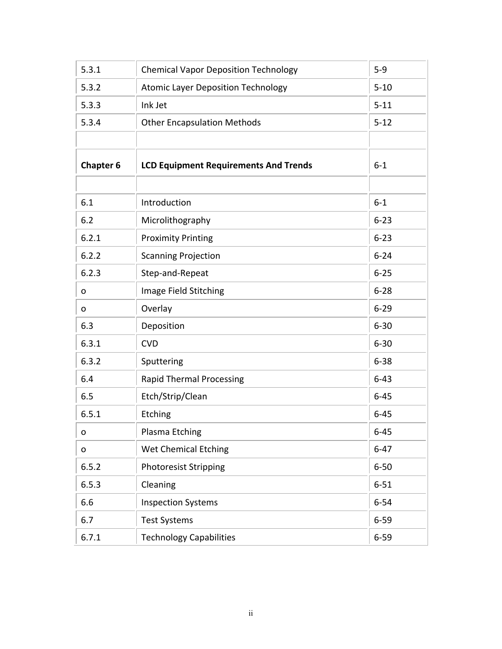| 5.3.1            | <b>Chemical Vapor Deposition Technology</b>  | $5 - 9$  |
|------------------|----------------------------------------------|----------|
| 5.3.2            | <b>Atomic Layer Deposition Technology</b>    | $5 - 10$ |
| 5.3.3            | Ink Jet                                      | $5 - 11$ |
| 5.3.4            | <b>Other Encapsulation Methods</b>           | $5 - 12$ |
|                  |                                              |          |
| <b>Chapter 6</b> | <b>LCD Equipment Requirements And Trends</b> | $6 - 1$  |
|                  |                                              |          |
| 6.1              | Introduction                                 | $6 - 1$  |
| 6.2              | Microlithography                             | $6 - 23$ |
| 6.2.1            | <b>Proximity Printing</b>                    | $6 - 23$ |
| 6.2.2            | <b>Scanning Projection</b>                   | $6 - 24$ |
| 6.2.3            | Step-and-Repeat                              | $6 - 25$ |
| o                | Image Field Stitching                        | $6 - 28$ |
| o                | Overlay                                      | $6 - 29$ |
| 6.3              | Deposition                                   | $6 - 30$ |
| 6.3.1            | <b>CVD</b>                                   | $6 - 30$ |
| 6.3.2            | Sputtering                                   | $6 - 38$ |
| 6.4              | <b>Rapid Thermal Processing</b>              | $6 - 43$ |
| 6.5              | Etch/Strip/Clean                             | $6 - 45$ |
| 6.5.1            | Etching                                      | $6 - 45$ |
| o                | Plasma Etching                               | $6 - 45$ |
| o                | <b>Wet Chemical Etching</b>                  | $6 - 47$ |
| 6.5.2            | <b>Photoresist Stripping</b>                 | $6 - 50$ |
| 6.5.3            | Cleaning                                     | $6 - 51$ |
| 6.6              | <b>Inspection Systems</b>                    | $6 - 54$ |
| 6.7              | <b>Test Systems</b>                          | $6 - 59$ |
| 6.7.1            | <b>Technology Capabilities</b>               | $6 - 59$ |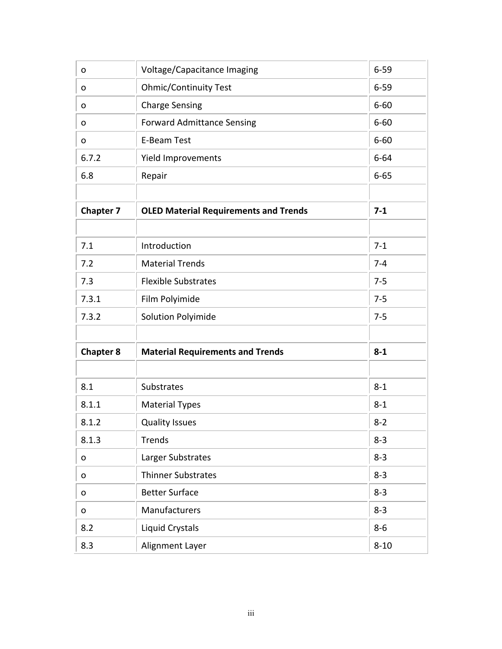| 0                | Voltage/Capacitance Imaging                  | $6 - 59$ |
|------------------|----------------------------------------------|----------|
| o                | <b>Ohmic/Continuity Test</b>                 | $6 - 59$ |
| 0                | <b>Charge Sensing</b>                        | $6 - 60$ |
| o                | <b>Forward Admittance Sensing</b>            | $6 - 60$ |
| o                | <b>E-Beam Test</b>                           | $6 - 60$ |
| 6.7.2            | <b>Yield Improvements</b>                    | $6 - 64$ |
| 6.8              | Repair                                       | $6 - 65$ |
|                  |                                              |          |
| <b>Chapter 7</b> | <b>OLED Material Requirements and Trends</b> | $7 - 1$  |
|                  |                                              |          |
| 7.1              | Introduction                                 | $7 - 1$  |
| 7.2              | <b>Material Trends</b>                       | $7 - 4$  |
| 7.3              | <b>Flexible Substrates</b>                   | $7 - 5$  |
| 7.3.1            | Film Polyimide                               | $7 - 5$  |
| 7.3.2            | <b>Solution Polyimide</b>                    | $7 - 5$  |
|                  |                                              |          |
| <b>Chapter 8</b> | <b>Material Requirements and Trends</b>      | $8 - 1$  |
|                  |                                              |          |
| 8.1              | <b>Substrates</b>                            | $8 - 1$  |
| 8.1.1            | <b>Material Types</b>                        | $8 - 1$  |
| 8.1.2            | <b>Quality Issues</b>                        | $8 - 2$  |
| 8.1.3            | <b>Trends</b>                                | $8 - 3$  |
| o                | Larger Substrates                            | $8 - 3$  |
| o                | <b>Thinner Substrates</b>                    | $8 - 3$  |
| o                | <b>Better Surface</b>                        | $8 - 3$  |
| o                | Manufacturers                                | $8 - 3$  |
| 8.2              | Liquid Crystals                              | $8-6$    |
| 8.3              | Alignment Layer                              | $8 - 10$ |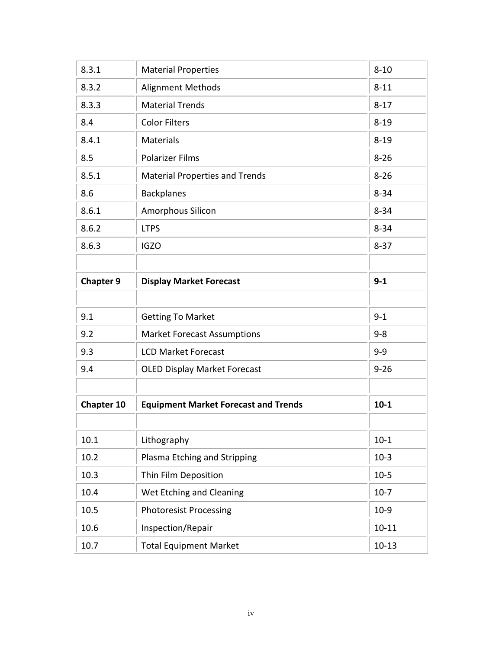| 8.3.1             | <b>Material Properties</b>                  | $8 - 10$  |
|-------------------|---------------------------------------------|-----------|
| 8.3.2             | <b>Alignment Methods</b>                    | $8 - 11$  |
| 8.3.3             | <b>Material Trends</b>                      | $8 - 17$  |
| 8.4               | <b>Color Filters</b>                        | $8 - 19$  |
| 8.4.1             | <b>Materials</b>                            | $8 - 19$  |
| 8.5               | <b>Polarizer Films</b>                      | $8 - 26$  |
| 8.5.1             | <b>Material Properties and Trends</b>       | $8 - 26$  |
| 8.6               | <b>Backplanes</b>                           | $8 - 34$  |
| 8.6.1             | Amorphous Silicon                           | $8 - 34$  |
| 8.6.2             | <b>LTPS</b>                                 | $8 - 34$  |
| 8.6.3             | <b>IGZO</b>                                 | $8 - 37$  |
|                   |                                             |           |
| <b>Chapter 9</b>  | <b>Display Market Forecast</b>              | $9 - 1$   |
|                   |                                             |           |
| 9.1               | <b>Getting To Market</b>                    | $9 - 1$   |
| 9.2               | <b>Market Forecast Assumptions</b>          | $9 - 8$   |
| 9.3               | <b>LCD Market Forecast</b>                  | $9 - 9$   |
| 9.4               | <b>OLED Display Market Forecast</b>         | $9 - 26$  |
|                   |                                             |           |
| <b>Chapter 10</b> | <b>Equipment Market Forecast and Trends</b> | $10 - 1$  |
|                   |                                             |           |
| 10.1              | Lithography                                 | $10-1$    |
| 10.2              | Plasma Etching and Stripping                | $10-3$    |
| 10.3              | Thin Film Deposition                        | $10-5$    |
| 10.4              | Wet Etching and Cleaning                    | $10-7$    |
| 10.5              | <b>Photoresist Processing</b>               | $10-9$    |
| 10.6              | Inspection/Repair                           | $10 - 11$ |
| 10.7              | <b>Total Equipment Market</b>               | $10-13$   |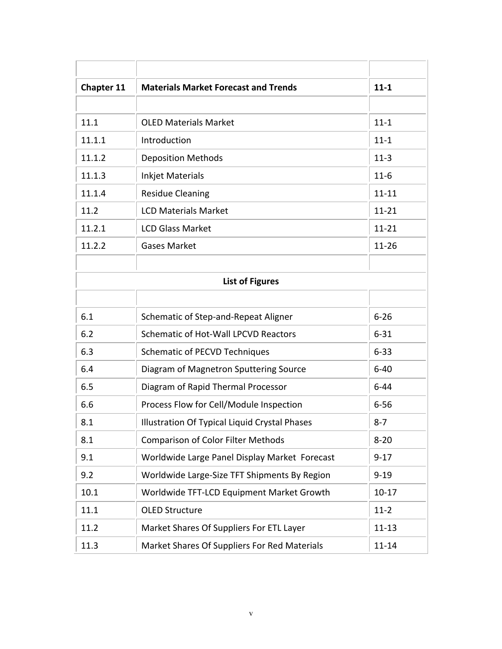| Chapter 11 | <b>Materials Market Forecast and Trends</b>   | $11 - 1$  |
|------------|-----------------------------------------------|-----------|
|            |                                               |           |
| 11.1       | <b>OLED Materials Market</b>                  | $11 - 1$  |
| 11.1.1     | Introduction                                  | $11 - 1$  |
| 11.1.2     | <b>Deposition Methods</b>                     | $11-3$    |
| 11.1.3     | <b>Inkjet Materials</b>                       | $11-6$    |
| 11.1.4     | <b>Residue Cleaning</b>                       | $11 - 11$ |
| 11.2       | <b>LCD Materials Market</b>                   | $11 - 21$ |
| 11.2.1     | <b>LCD Glass Market</b>                       | $11 - 21$ |
| 11.2.2     | <b>Gases Market</b>                           | $11 - 26$ |
|            |                                               |           |
|            | <b>List of Figures</b>                        |           |
|            |                                               |           |
| 6.1        | Schematic of Step-and-Repeat Aligner          | $6 - 26$  |
| 6.2        | <b>Schematic of Hot-Wall LPCVD Reactors</b>   | $6 - 31$  |
| 6.3        | <b>Schematic of PECVD Techniques</b>          | $6 - 33$  |
| 6.4        | Diagram of Magnetron Sputtering Source        | $6 - 40$  |
| 6.5        | Diagram of Rapid Thermal Processor            | $6 - 44$  |
| 6.6        | Process Flow for Cell/Module Inspection       | $6 - 56$  |
| 8.1        | Illustration Of Typical Liquid Crystal Phases | $8 - 7$   |
| 8.1        | <b>Comparison of Color Filter Methods</b>     | $8 - 20$  |
| 9.1        | Worldwide Large Panel Display Market Forecast | $9 - 17$  |
| 9.2        | Worldwide Large-Size TFT Shipments By Region  | $9 - 19$  |
| 10.1       | Worldwide TFT-LCD Equipment Market Growth     | $10 - 17$ |
| 11.1       | <b>OLED Structure</b>                         | $11-2$    |
| 11.2       | Market Shares Of Suppliers For ETL Layer      | $11 - 13$ |
| 11.3       | Market Shares Of Suppliers For Red Materials  | $11 - 14$ |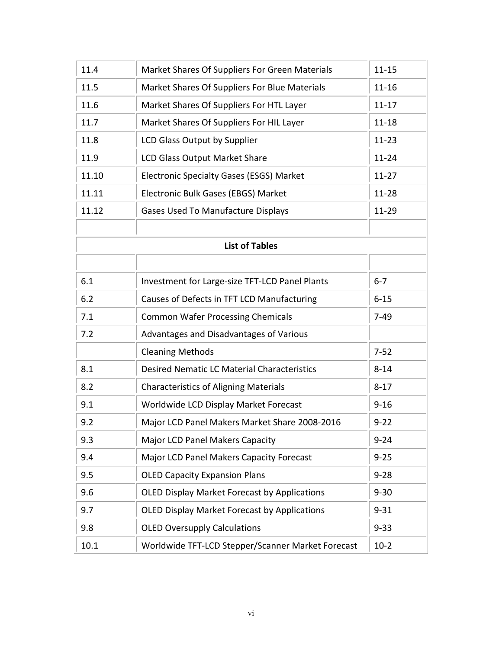| 11.4  | Market Shares Of Suppliers For Green Materials      | $11 - 15$ |
|-------|-----------------------------------------------------|-----------|
| 11.5  | Market Shares Of Suppliers For Blue Materials       | $11 - 16$ |
| 11.6  | Market Shares Of Suppliers For HTL Layer            | $11 - 17$ |
| 11.7  | Market Shares Of Suppliers For HIL Layer            | $11 - 18$ |
| 11.8  | LCD Glass Output by Supplier                        | $11 - 23$ |
| 11.9  | <b>LCD Glass Output Market Share</b>                | $11 - 24$ |
| 11.10 | <b>Electronic Specialty Gases (ESGS) Market</b>     | $11 - 27$ |
| 11.11 | Electronic Bulk Gases (EBGS) Market                 | 11-28     |
| 11.12 | <b>Gases Used To Manufacture Displays</b>           | 11-29     |
|       |                                                     |           |
|       | <b>List of Tables</b>                               |           |
|       |                                                     |           |
| 6.1   | Investment for Large-size TFT-LCD Panel Plants      | $6 - 7$   |
| 6.2   | Causes of Defects in TFT LCD Manufacturing          | $6 - 15$  |
| 7.1   | <b>Common Wafer Processing Chemicals</b>            | $7-49$    |
| 7.2   | Advantages and Disadvantages of Various             |           |
|       | <b>Cleaning Methods</b>                             | $7 - 52$  |
| 8.1   | <b>Desired Nematic LC Material Characteristics</b>  | $8 - 14$  |
| 8.2   | <b>Characteristics of Aligning Materials</b>        | $8 - 17$  |
| 9.1   | Worldwide LCD Display Market Forecast               | $9 - 16$  |
| 9.2   | Major LCD Panel Makers Market Share 2008-2016       | $9 - 22$  |
| 9.3   | <b>Major LCD Panel Makers Capacity</b>              | $9 - 24$  |
| 9.4   | Major LCD Panel Makers Capacity Forecast            | $9 - 25$  |
| 9.5   | <b>OLED Capacity Expansion Plans</b>                | $9 - 28$  |
| 9.6   | <b>OLED Display Market Forecast by Applications</b> | $9 - 30$  |
| 9.7   | <b>OLED Display Market Forecast by Applications</b> | $9 - 31$  |
| 9.8   | <b>OLED Oversupply Calculations</b>                 | $9 - 33$  |
| 10.1  | Worldwide TFT-LCD Stepper/Scanner Market Forecast   | $10-2$    |